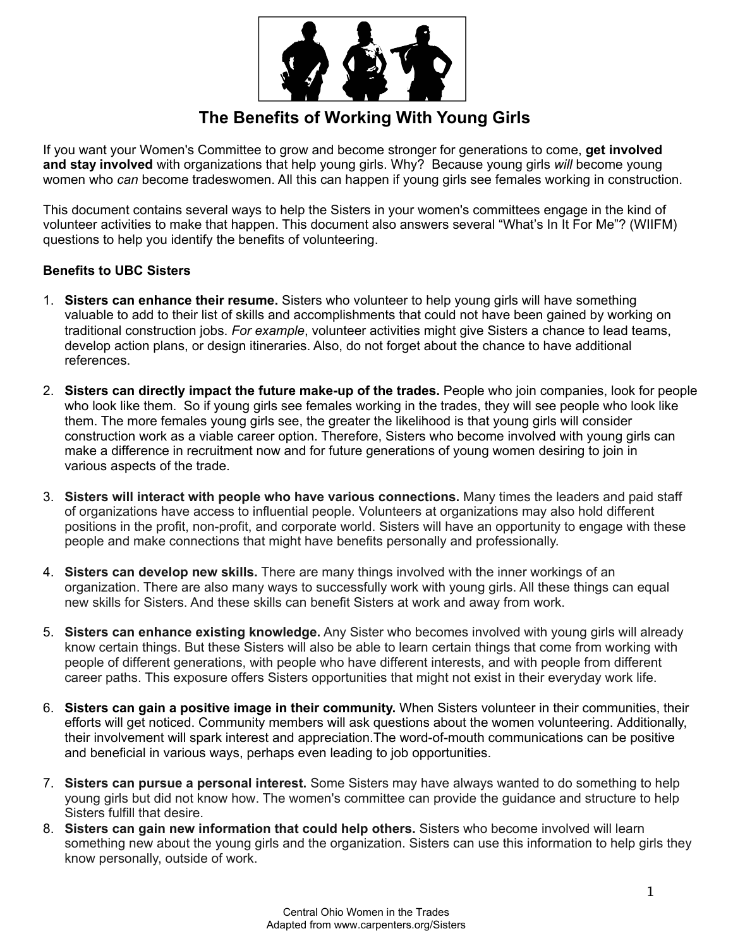

# **The Benefits of Working With Young Girls**

If you want your Women's Committee to grow and become stronger for generations to come, **get involved and stay involved** with organizations that help young girls. Why? Because young girls *will* become young women who *can* become tradeswomen. All this can happen if young girls see females working in construction.

This document contains several ways to help the Sisters in your women's committees engage in the kind of volunteer activities to make that happen. This document also answers several "What's In It For Me"? (WIIFM) questions to help you identify the benefits of volunteering.

### **Benefits to UBC Sisters**

- 1. **Sisters can enhance their resume.** Sisters who volunteer to help young girls will have something valuable to add to their list of skills and accomplishments that could not have been gained by working on traditional construction jobs. *For example*, volunteer activities might give Sisters a chance to lead teams, develop action plans, or design itineraries. Also, do not forget about the chance to have additional references.
- 2. **Sisters can directly impact the future make-up of the trades.** People who join companies, look for people who look like them. So if young girls see females working in the trades, they will see people who look like them. The more females young girls see, the greater the likelihood is that young girls will consider construction work as a viable career option. Therefore, Sisters who become involved with young girls can make a difference in recruitment now and for future generations of young women desiring to join in various aspects of the trade.
- 3. **Sisters will interact with people who have various connections.** Many times the leaders and paid staff of organizations have access to influential people. Volunteers at organizations may also hold different positions in the profit, non-profit, and corporate world. Sisters will have an opportunity to engage with these people and make connections that might have benefits personally and professionally.
- 4. **Sisters can develop new skills.** There are many things involved with the inner workings of an organization. There are also many ways to successfully work with young girls. All these things can equal new skills for Sisters. And these skills can benefit Sisters at work and away from work.
- 5. **Sisters can enhance existing knowledge.** Any Sister who becomes involved with young girls will already know certain things. But these Sisters will also be able to learn certain things that come from working with people of different generations, with people who have different interests, and with people from different career paths. This exposure offers Sisters opportunities that might not exist in their everyday work life.
- 6. **Sisters can gain a positive image in their community.** When Sisters volunteer in their communities, their efforts will get noticed. Community members will ask questions about the women volunteering. Additionally, their involvement will spark interest and appreciation.The word-of-mouth communications can be positive and beneficial in various ways, perhaps even leading to job opportunities.
- 7. **Sisters can pursue a personal interest.** Some Sisters may have always wanted to do something to help young girls but did not know how. The women's committee can provide the guidance and structure to help Sisters fulfill that desire.
- 8. **Sisters can gain new information that could help others.** Sisters who become involved will learn something new about the young girls and the organization. Sisters can use this information to help girls they know personally, outside of work.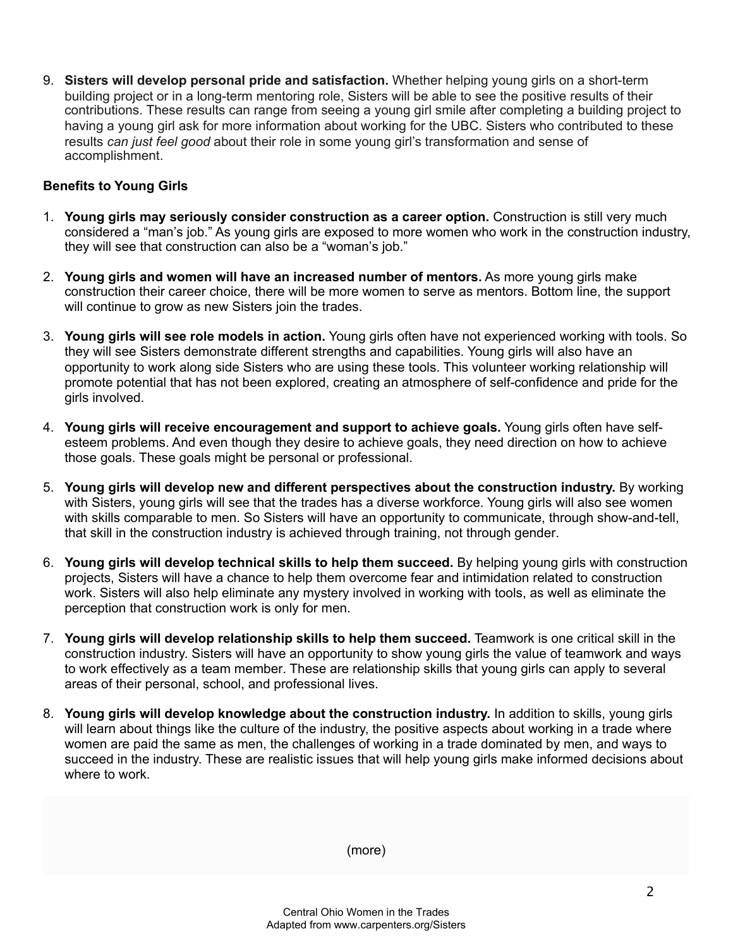9. **Sisters will develop personal pride and satisfaction.** Whether helping young girls on a short-term building project or in a long-term mentoring role, Sisters will be able to see the positive results of their contributions. These results can range from seeing a young girl smile after completing a building project to having a young girl ask for more information about working for the UBC. Sisters who contributed to these results *can just feel good* about their role in some young girl's transformation and sense of accomplishment.

### **Benefits to Young Girls**

- 1. **Young girls may seriously consider construction as a career option.** Construction is still very much considered a "man's job." As young girls are exposed to more women who work in the construction industry, they will see that construction can also be a "woman's job."
- 2. **Young girls and women will have an increased number of mentors.** As more young girls make construction their career choice, there will be more women to serve as mentors. Bottom line, the support will continue to grow as new Sisters join the trades.
- 3. **Young girls will see role models in action.** Young girls often have not experienced working with tools. So they will see Sisters demonstrate different strengths and capabilities. Young girls will also have an opportunity to work along side Sisters who are using these tools. This volunteer working relationship will promote potential that has not been explored, creating an atmosphere of self-confidence and pride for the girls involved.
- 4. **Young girls will receive encouragement and support to achieve goals.** Young girls often have selfesteem problems. And even though they desire to achieve goals, they need direction on how to achieve those goals. These goals might be personal or professional.
- 5. **Young girls will develop new and different perspectives about the construction industry.** By working with Sisters, young girls will see that the trades has a diverse workforce. Young girls will also see women with skills comparable to men. So Sisters will have an opportunity to communicate, through show-and-tell, that skill in the construction industry is achieved through training, not through gender.
- 6. **Young girls will develop technical skills to help them succeed.** By helping young girls with construction projects, Sisters will have a chance to help them overcome fear and intimidation related to construction work. Sisters will also help eliminate any mystery involved in working with tools, as well as eliminate the perception that construction work is only for men.
- 7. **Young girls will develop relationship skills to help them succeed.** Teamwork is one critical skill in the construction industry. Sisters will have an opportunity to show young girls the value of teamwork and ways to work effectively as a team member. These are relationship skills that young girls can apply to several areas of their personal, school, and professional lives.
- 8. **Young girls will develop knowledge about the construction industry.** In addition to skills, young girls will learn about things like the culture of the industry, the positive aspects about working in a trade where women are paid the same as men, the challenges of working in a trade dominated by men, and ways to succeed in the industry. These are realistic issues that will help young girls make informed decisions about where to work.

(more)